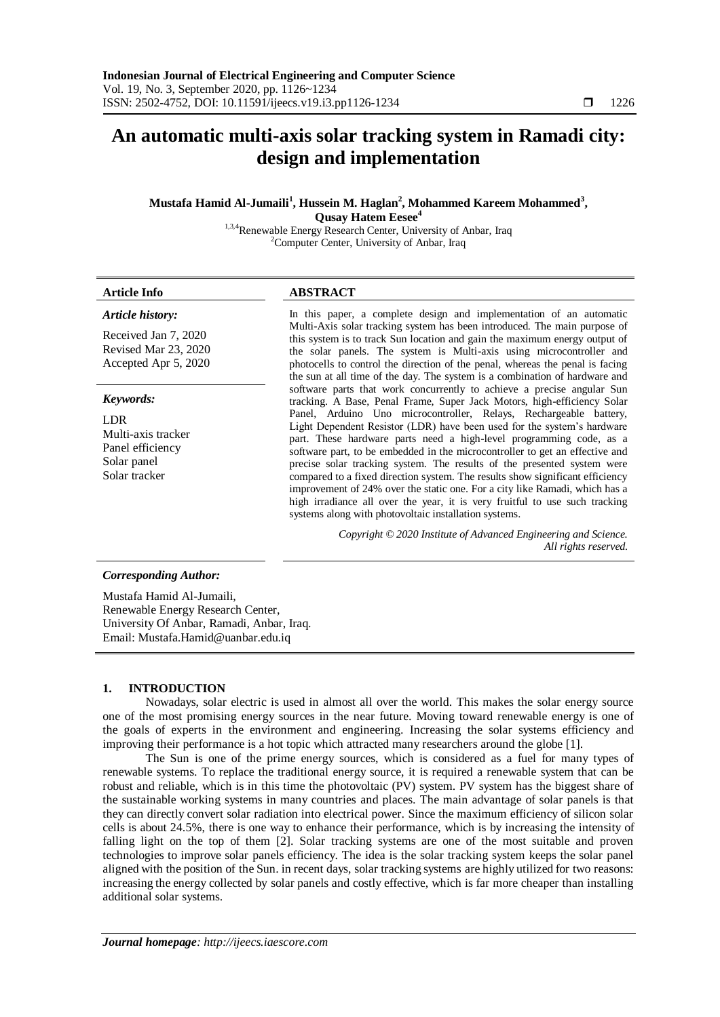# **An automatic multi-axis solar tracking system in Ramadi city: design and implementation**

**Mustafa Hamid Al-Jumaili<sup>1</sup> , Hussein M. Haglan<sup>2</sup> , Mohammed Kareem Mohammed<sup>3</sup> , Qusay Hatem Eesee<sup>4</sup>**

1,3,4Renewable Energy Research Center, University of Anbar, Iraq <sup>2</sup>Computer Center, University of Anbar, Iraq

# **Article Info ABSTRACT**

# *Article history:*

Received Jan 7, 2020 Revised Mar 23, 2020 Accepted Apr 5, 2020

#### *Keywords:*

LDR Multi-axis tracker Panel efficiency Solar panel Solar tracker

In this paper, a complete design and implementation of an automatic Multi-Axis solar tracking system has been introduced. The main purpose of this system is to track Sun location and gain the maximum energy output of the solar panels. The system is Multi-axis using microcontroller and photocells to control the direction of the penal, whereas the penal is facing the sun at all time of the day. The system is a combination of hardware and software parts that work concurrently to achieve a precise angular Sun tracking. A Base, Penal Frame, Super Jack Motors, high-efficiency Solar Panel, Arduino Uno microcontroller, Relays, Rechargeable battery, Light Dependent Resistor (LDR) have been used for the system's hardware part. These hardware parts need a high-level programming code, as a software part, to be embedded in the microcontroller to get an effective and precise solar tracking system. The results of the presented system were compared to a fixed direction system. The results show significant efficiency improvement of 24% over the static one. For a city like Ramadi, which has a high irradiance all over the year, it is very fruitful to use such tracking systems along with photovoltaic installation systems.

> *Copyright © 2020 Institute of Advanced Engineering and Science. All rights reserved.*

# *Corresponding Author:*

Mustafa Hamid Al-Jumaili, Renewable Energy Research Center, University Of Anbar, Ramadi, Anbar, Iraq. Email: [Mustafa.Hamid@uanbar.edu.iq](mailto:Mustafa.Hamid@uanbar.edu.iq)

# **1. INTRODUCTION**

Nowadays, solar electric is used in almost all over the world. This makes the solar energy source one of the most promising energy sources in the near future. Moving toward renewable energy is one of the goals of experts in the environment and engineering. Increasing the solar systems efficiency and improving their performance is a hot topic which attracted many researchers around the globe [1].

The Sun is one of the prime energy sources, which is considered as a fuel for many types of renewable systems. To replace the traditional energy source, it is required a renewable system that can be robust and reliable, which is in this time the photovoltaic (PV) system. PV system has the biggest share of the sustainable working systems in many countries and places. The main advantage of solar panels is that they can directly convert solar radiation into electrical power. Since the maximum efficiency of silicon solar cells is about 24.5%, there is one way to enhance their performance, which is by increasing the intensity of falling light on the top of them [2]. Solar tracking systems are one of the most suitable and proven technologies to improve solar panels efficiency. The idea is the solar tracking system keeps the solar panel aligned with the position of the Sun. in recent days, solar tracking systems are highly utilized for two reasons: increasing the energy collected by solar panels and costly effective, which is far more cheaper than installing additional solar systems.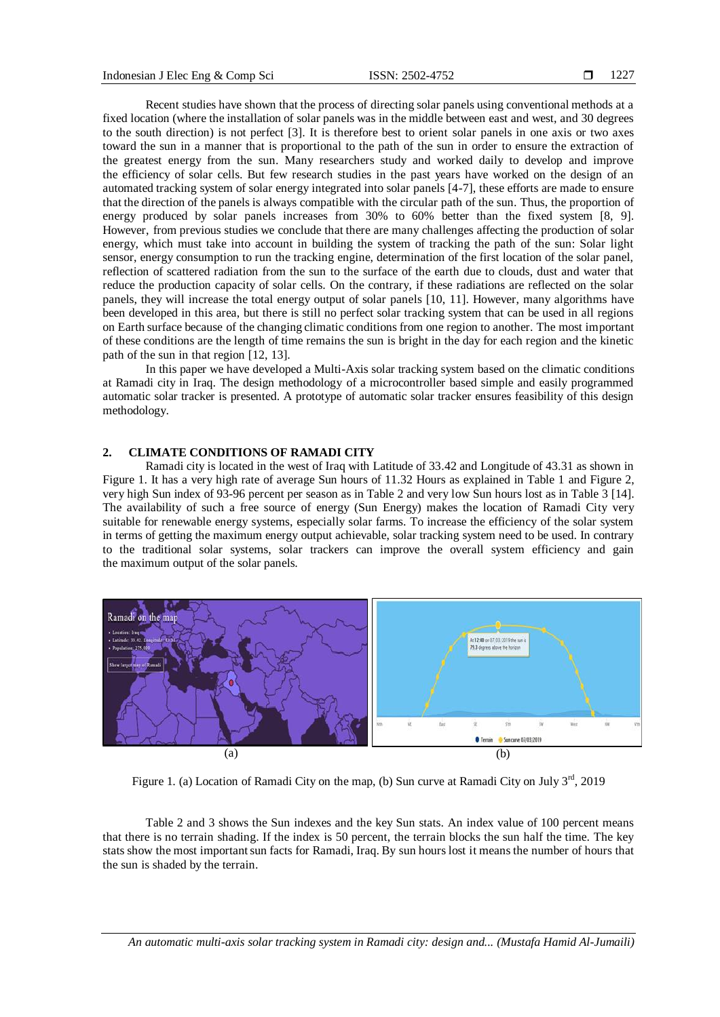Recent studies have shown that the process of directing solar panels using conventional methods at a fixed location (where the installation of solar panels was in the middle between east and west, and 30 degrees to the south direction) is not perfect [3]. It is therefore best to orient solar panels in one axis or two axes toward the sun in a manner that is proportional to the path of the sun in order to ensure the extraction of the greatest energy from the sun. Many researchers study and worked daily to develop and improve the efficiency of solar cells. But few research studies in the past years have worked on the design of an automated tracking system of solar energy integrated into solar panels [4-7], these efforts are made to ensure that the direction of the panels is always compatible with the circular path of the sun. Thus, the proportion of energy produced by solar panels increases from 30% to 60% better than the fixed system [8, 9]. However, from previous studies we conclude that there are many challenges affecting the production of solar energy, which must take into account in building the system of tracking the path of the sun: Solar light sensor, energy consumption to run the tracking engine, determination of the first location of the solar panel, reflection of scattered radiation from the sun to the surface of the earth due to clouds, dust and water that reduce the production capacity of solar cells. On the contrary, if these radiations are reflected on the solar panels, they will increase the total energy output of solar panels [10, 11]. However, many algorithms have been developed in this area, but there is still no perfect solar tracking system that can be used in all regions on Earth surface because of the changing climatic conditions from one region to another. The most important of these conditions are the length of time remains the sun is bright in the day for each region and the kinetic path of the sun in that region [12, 13].

In this paper we have developed a Multi-Axis solar tracking system based on the climatic conditions at Ramadi city in Iraq. The design methodology of a microcontroller based simple and easily programmed automatic solar tracker is presented. A prototype of automatic solar tracker ensures feasibility of this design methodology.

# **2. CLIMATE CONDITIONS OF RAMADI CITY**

Ramadi city is located in the west of Iraq with Latitude of 33.42 and Longitude of 43.31 as shown in Figure 1. It has a very high rate of average Sun hours of 11.32 Hours as explained in Table 1 and Figure 2, very high Sun index of 93-96 percent per season as in Table 2 and very low Sun hours lost as in Table 3 [14]. The availability of such a free source of energy (Sun Energy) makes the location of Ramadi City very suitable for renewable energy systems, especially solar farms. To increase the efficiency of the solar system in terms of getting the maximum energy output achievable, solar tracking system need to be used. In contrary to the traditional solar systems, solar trackers can improve the overall system efficiency and gain the maximum output of the solar panels.



Figure 1. (a) Location of Ramadi City on the map, (b) Sun curve at Ramadi City on July 3<sup>rd</sup>, 2019

Table 2 and 3 shows the Sun indexes and the key Sun stats. An index value of 100 percent means that there is no terrain shading. If the index is 50 percent, the terrain blocks the sun half the time. The key stats show the most important sun facts for Ramadi, Iraq. By sun hours lost it means the number of hours that the sun is shaded by the terrain.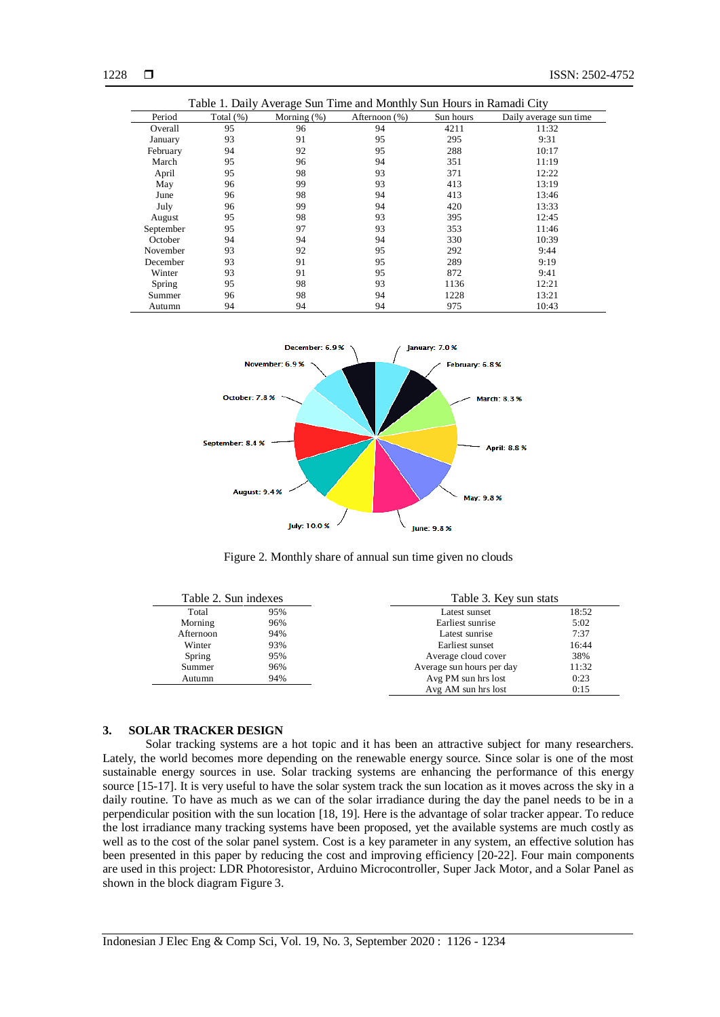| Table 1. Daily Average Sun Time and Monthly Sun Hours in Ramadi City |              |                |               |           |                        |  |
|----------------------------------------------------------------------|--------------|----------------|---------------|-----------|------------------------|--|
| Period                                                               | Total $(\%)$ | Morning $(\%)$ | Afternoon (%) | Sun hours | Daily average sun time |  |
| Overall                                                              | 95           | 96             | 94            | 4211      | 11:32                  |  |
| January                                                              | 93           | 91             | 95            | 295       | 9:31                   |  |
| February                                                             | 94           | 92             | 95            | 288       | 10:17                  |  |
| March                                                                | 95           | 96             | 94            | 351       | 11:19                  |  |
| April                                                                | 95           | 98             | 93            | 371       | 12:22                  |  |
| May                                                                  | 96           | 99             | 93            | 413       | 13:19                  |  |
| June                                                                 | 96           | 98             | 94            | 413       | 13:46                  |  |
| July                                                                 | 96           | 99             | 94            | 420       | 13:33                  |  |
| August                                                               | 95           | 98             | 93            | 395       | 12:45                  |  |
| September                                                            | 95           | 97             | 93            | 353       | 11:46                  |  |
| October                                                              | 94           | 94             | 94            | 330       | 10:39                  |  |
| November                                                             | 93           | 92             | 95            | 292       | 9:44                   |  |
| December                                                             | 93           | 91             | 95            | 289       | 9:19                   |  |
| Winter                                                               | 93           | 91             | 95            | 872       | 9:41                   |  |
| Spring                                                               | 95           | 98             | 93            | 1136      | 12:21                  |  |
| Summer                                                               | 96           | 98             | 94            | 1228      | 13:21                  |  |
| Autumn                                                               | 94           | 94             | 94            | 975       | 10:43                  |  |



Figure 2. Monthly share of annual sun time given no clouds

| Table 2. Sun indexes |                      | Table 3. Key sun stats    |       |  |
|----------------------|----------------------|---------------------------|-------|--|
| Total                | 95%<br>Latest sunset |                           | 18:52 |  |
| Morning              | 96%                  | Earliest sunrise          | 5:02  |  |
| Afternoon            | 94%                  | Latest sunrise            | 7:37  |  |
| Winter               | 93%                  | Earliest sunset           | 16:44 |  |
| Spring               | 95%                  | Average cloud cover       | 38%   |  |
| Summer               | 96%                  | Average sun hours per day | 11:32 |  |
| Autumn               | 94%                  | Avg PM sun hrs lost       | 0:23  |  |
|                      |                      | Avg AM sun hrs lost       | 0:15  |  |

#### **3. SOLAR TRACKER DESIGN**

Solar tracking systems are a hot topic and it has been an attractive subject for many researchers. Lately, the world becomes more depending on the renewable energy source. Since solar is one of the most sustainable energy sources in use. Solar tracking systems are enhancing the performance of this energy source [15-17]. It is very useful to have the solar system track the sun location as it moves across the sky in a daily routine. To have as much as we can of the solar irradiance during the day the panel needs to be in a perpendicular position with the sun location [18, 19]. Here is the advantage of solar tracker appear. To reduce the lost irradiance many tracking systems have been proposed, yet the available systems are much costly as well as to the cost of the solar panel system. Cost is a key parameter in any system, an effective solution has been presented in this paper by reducing the cost and improving efficiency [20-22]. Four main components are used in this project: LDR Photoresistor, Arduino Microcontroller, Super Jack Motor, and a Solar Panel as shown in the block diagram Figure 3.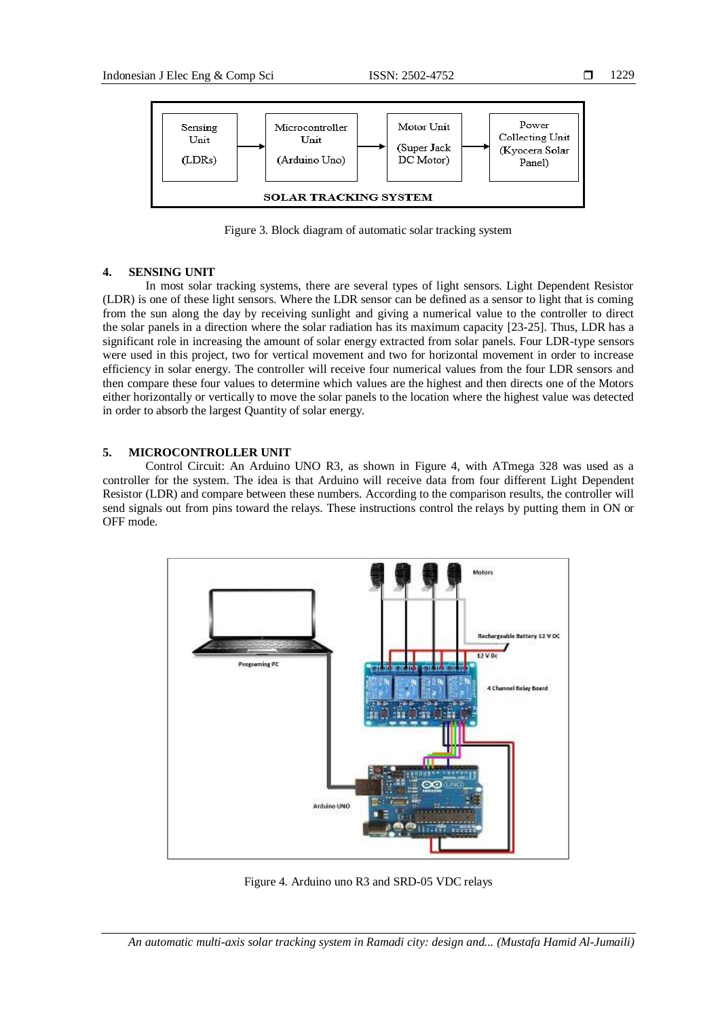

Figure 3. Block diagram of automatic solar tracking system

# **4. SENSING UNIT**

In most solar tracking systems, there are several types of light sensors. Light Dependent Resistor (LDR) is one of these light sensors. Where the LDR sensor can be defined as a sensor to light that is coming from the sun along the day by receiving sunlight and giving a numerical value to the controller to direct the solar panels in a direction where the solar radiation has its maximum capacity [23-25]. Thus, LDR has a significant role in increasing the amount of solar energy extracted from solar panels. Four LDR-type sensors were used in this project, two for vertical movement and two for horizontal movement in order to increase efficiency in solar energy. The controller will receive four numerical values from the four LDR sensors and then compare these four values to determine which values are the highest and then directs one of the Motors either horizontally or vertically to move the solar panels to the location where the highest value was detected in order to absorb the largest Quantity of solar energy.

# **5. MICROCONTROLLER UNIT**

Control Circuit: An Arduino UNO R3, as shown in Figure 4, with ATmega 328 was used as a controller for the system. The idea is that Arduino will receive data from four different Light Dependent Resistor (LDR) and compare between these numbers. According to the comparison results, the controller will send signals out from pins toward the relays. These instructions control the relays by putting them in ON or OFF mode.



Figure 4. Arduino uno R3 and SRD-05 VDC relays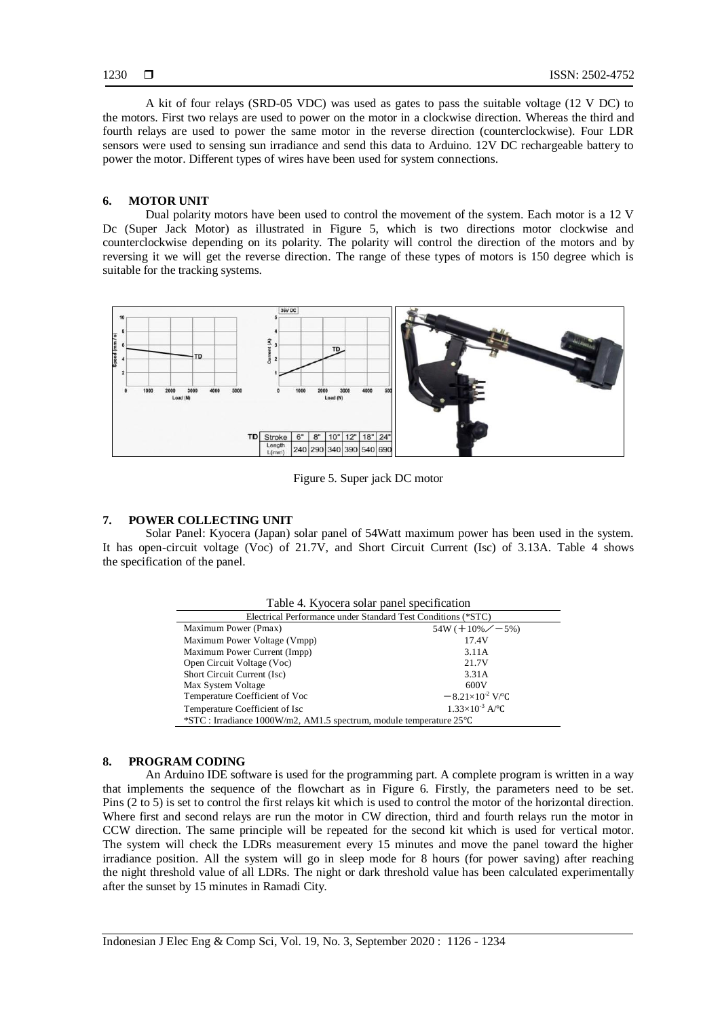A kit of four relays (SRD-05 VDC) was used as gates to pass the suitable voltage (12 V DC) to the motors. First two relays are used to power on the motor in a clockwise direction. Whereas the third and fourth relays are used to power the same motor in the reverse direction (counterclockwise). Four LDR sensors were used to sensing sun irradiance and send this data to Arduino. 12V DC rechargeable battery to power the motor. Different types of wires have been used for system connections.

#### **6. MOTOR UNIT**

Dual polarity motors have been used to control the movement of the system. Each motor is a 12 V Dc (Super Jack Motor) as illustrated in Figure 5, which is two directions motor clockwise and counterclockwise depending on its polarity. The polarity will control the direction of the motors and by reversing it we will get the reverse direction. The range of these types of motors is 150 degree which is suitable for the tracking systems.



Figure 5. Super jack DC motor

# **7. POWER COLLECTING UNIT**

Solar Panel: Kyocera (Japan) solar panel of 54Watt maximum power has been used in the system. It has open-circuit voltage (Voc) of 21.7V, and Short Circuit Current (Isc) of 3.13A. Table 4 shows the specification of the panel.

| Table 4. Kyocera solar panel specification                           |                                        |  |  |  |  |  |
|----------------------------------------------------------------------|----------------------------------------|--|--|--|--|--|
| Electrical Performance under Standard Test Conditions (*STC)         |                                        |  |  |  |  |  |
| Maximum Power (Pmax)                                                 | $54W (+ 10\% \measuredangle - 5\%)$    |  |  |  |  |  |
| Maximum Power Voltage (Vmpp)                                         | 17.4V                                  |  |  |  |  |  |
| Maximum Power Current (Impp)                                         | 3.11A                                  |  |  |  |  |  |
| Open Circuit Voltage (Voc)                                           | 21.7V                                  |  |  |  |  |  |
| Short Circuit Current (Isc)                                          | 3.31A                                  |  |  |  |  |  |
| Max System Voltage                                                   | 600V                                   |  |  |  |  |  |
| Temperature Coefficient of Voc                                       | $-8.21\times10^{-2}$ V/ <sup>o</sup> C |  |  |  |  |  |
| Temperature Coefficient of Isc                                       | $1.33\times10^{-3}$ A/ <sup>o</sup> C  |  |  |  |  |  |
| *STC : Irradiance 1000W/m2, AM1.5 spectrum, module temperature 25 °C |                                        |  |  |  |  |  |

# **8. PROGRAM CODING**

An Arduino IDE software is used for the programming part. A complete program is written in a way that implements the sequence of the flowchart as in Figure 6. Firstly, the parameters need to be set. Pins (2 to 5) is set to control the first relays kit which is used to control the motor of the horizontal direction. Where first and second relays are run the motor in CW direction, third and fourth relays run the motor in CCW direction. The same principle will be repeated for the second kit which is used for vertical motor. The system will check the LDRs measurement every 15 minutes and move the panel toward the higher irradiance position. All the system will go in sleep mode for 8 hours (for power saving) after reaching the night threshold value of all LDRs. The night or dark threshold value has been calculated experimentally after the sunset by 15 minutes in Ramadi City.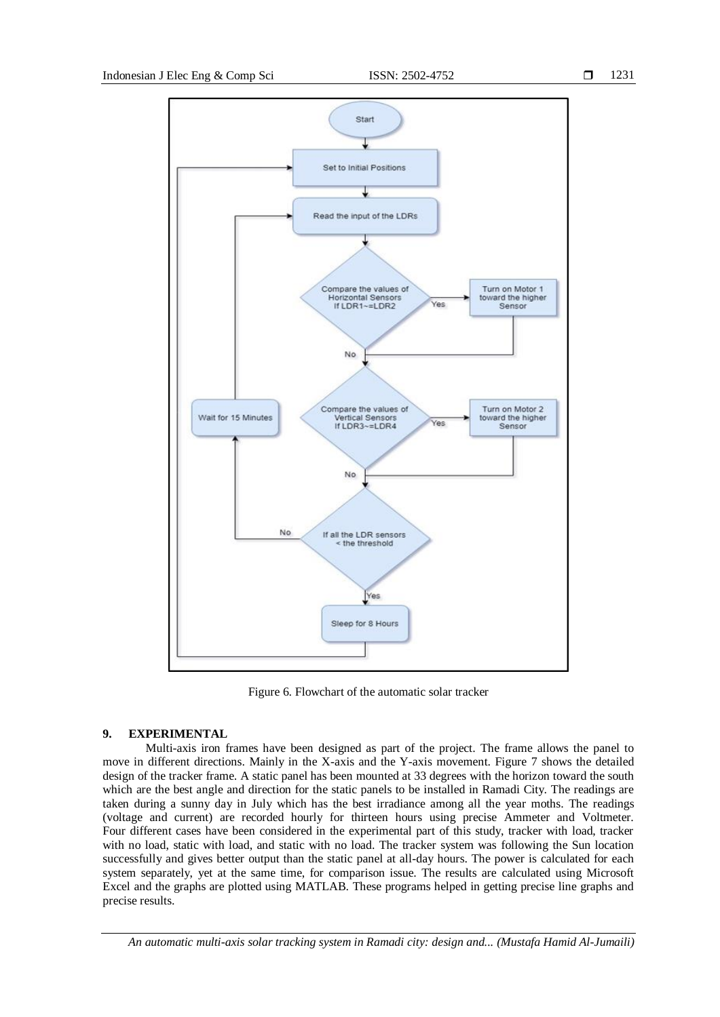

Figure 6. Flowchart of the automatic solar tracker

# **9. EXPERIMENTAL**

Multi-axis iron frames have been designed as part of the project. The frame allows the panel to move in different directions. Mainly in the X-axis and the Y-axis movement. Figure 7 shows the detailed design of the tracker frame. A static panel has been mounted at 33 degrees with the horizon toward the south which are the best angle and direction for the static panels to be installed in Ramadi City. The readings are taken during a sunny day in July which has the best irradiance among all the year moths. The readings (voltage and current) are recorded hourly for thirteen hours using precise Ammeter and Voltmeter. Four different cases have been considered in the experimental part of this study, tracker with load, tracker with no load, static with load, and static with no load. The tracker system was following the Sun location successfully and gives better output than the static panel at all-day hours. The power is calculated for each system separately, yet at the same time, for comparison issue. The results are calculated using Microsoft Excel and the graphs are plotted using MATLAB. These programs helped in getting precise line graphs and precise results.

*An automatic multi-axis solar tracking system in Ramadi city: design and... (Mustafa Hamid Al-Jumaili)*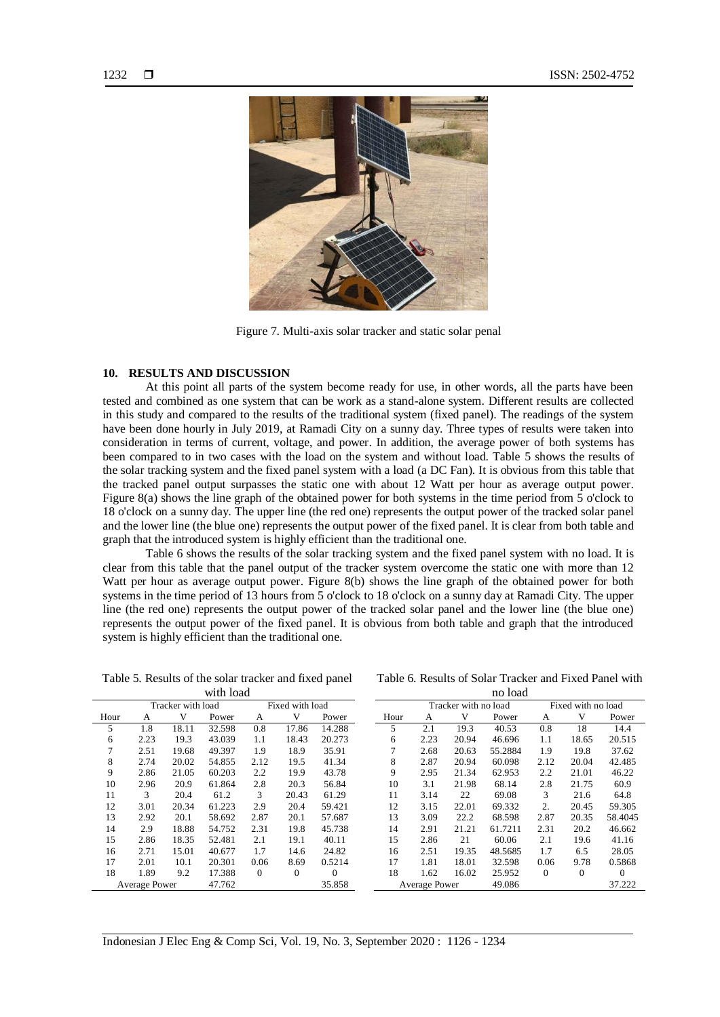

Figure 7. Multi-axis solar tracker and static solar penal

# **10. RESULTS AND DISCUSSION**

At this point all parts of the system become ready for use, in other words, all the parts have been tested and combined as one system that can be work as a stand-alone system. Different results are collected in this study and compared to the results of the traditional system (fixed panel). The readings of the system have been done hourly in July 2019, at Ramadi City on a sunny day. Three types of results were taken into consideration in terms of current, voltage, and power. In addition, the average power of both systems has been compared to in two cases with the load on the system and without load. Table 5 shows the results of the solar tracking system and the fixed panel system with a load (a DC Fan). It is obvious from this table that the tracked panel output surpasses the static one with about 12 Watt per hour as average output power. Figure 8(a) shows the line graph of the obtained power for both systems in the time period from 5 o'clock to 18 o'clock on a sunny day. The upper line (the red one) represents the output power of the tracked solar panel and the lower line (the blue one) represents the output power of the fixed panel. It is clear from both table and graph that the introduced system is highly efficient than the traditional one.

Table 6 shows the results of the solar tracking system and the fixed panel system with no load. It is clear from this table that the panel output of the tracker system overcome the static one with more than 12 Watt per hour as average output power. Figure 8(b) shows the line graph of the obtained power for both systems in the time period of 13 hours from 5 o'clock to 18 o'clock on a sunny day at Ramadi City. The upper line (the red one) represents the output power of the tracked solar panel and the lower line (the blue one) represents the output power of the fixed panel. It is obvious from both table and graph that the introduced system is highly efficient than the traditional one.

Table 5. Results of the solar tracker and fixed panel with load

Table 6. Results of Solar Tracker and Fixed Panel with no load

|               | Tracker with load |       |        | Fixed with load |          |          |  |
|---------------|-------------------|-------|--------|-----------------|----------|----------|--|
| Hour          | А                 | v     | Power  | А               | v        | Power    |  |
| 5             | 1.8               | 18.11 | 32.598 | 0.8             | 17.86    | 14.288   |  |
| 6             | 2.23              | 19.3  | 43.039 | 1.1             | 18.43    | 20.273   |  |
| 7             | 2.51              | 19.68 | 49.397 | 1.9             | 18.9     | 35.91    |  |
| 8             | 2.74              | 20.02 | 54.855 | 2.12            | 19.5     | 41.34    |  |
| 9             | 2.86              | 21.05 | 60.203 | 2.2             | 19.9     | 43.78    |  |
| 10            | 2.96              | 20.9  | 61.864 | 2.8             | 20.3     | 56.84    |  |
| 11            | 3                 | 20.4  | 61.2   | 3               | 20.43    | 61.29    |  |
| 12            | 3.01              | 20.34 | 61.223 | 2.9             | 20.4     | 59.421   |  |
| 13            | 2.92              | 20.1  | 58.692 | 2.87            | 20.1     | 57.687   |  |
| 14            | 2.9               | 18.88 | 54.752 | 2.31            | 19.8     | 45.738   |  |
| 15            | 2.86              | 18.35 | 52.481 | 2.1             | 19.1     | 40.11    |  |
| 16            | 2.71              | 15.01 | 40.677 | 1.7             | 14.6     | 24.82    |  |
| 17            | 2.01              | 10.1  | 20.301 | 0.06            | 8.69     | 0.5214   |  |
| 18            | 1.89              | 9.2   | 17.388 | 0               | $\theta$ | $\Omega$ |  |
| Average Power |                   |       | 47.762 |                 |          | 35.858   |  |

|                      | Tracker with no load |        |         | Fixed with no load |          |          |
|----------------------|----------------------|--------|---------|--------------------|----------|----------|
| Hour                 | А                    | V      | Power   | А                  | V        | Power    |
| 5                    | 2.1                  | 19.3   | 40.53   | 0.8                | 18       | 14.4     |
| 6                    | 2.23                 | 20.94  | 46.696  | 1.1                | 18.65    | 20.515   |
| 7                    | 2.68                 | 20.63  | 55.2884 | 1.9                | 19.8     | 37.62    |
| 8                    | 2.87                 | 20.94  | 60.098  | 2.12               | 20.04    | 42.485   |
| 9                    | 2.95                 | 21.34  | 62.953  | 2.2                | 21.01    | 46.22    |
| 10                   | 3.1                  | 21.98  | 68.14   | 2.8                | 21.75    | 60.9     |
| 11                   | 3.14                 | 22     | 69.08   | 3                  | 21.6     | 64.8     |
| 12                   | 3.15                 | 22.01  | 69.332  | 2.                 | 20.45    | 59.305   |
| 13                   | 3.09                 | 22.2   | 68.598  | 2.87               | 20.35    | 58.4045  |
| 14                   | 2.91                 | 21.21  | 61.7211 | 2.31               | 20.2     | 46.662   |
| 15                   | 2.86                 | 21     | 60.06   | 2.1                | 19.6     | 41.16    |
| 16                   | 2.51                 | 19.35  | 48.5685 | 1.7                | 6.5      | 28.05    |
| 17                   | 1.81                 | 18.01  | 32.598  | 0.06               | 9.78     | 0.5868   |
| 18                   | 1.62                 | 16.02  | 25.952  | 0                  | $\theta$ | $\Omega$ |
| <b>Average Power</b> |                      | 49.086 |         |                    | 37.222   |          |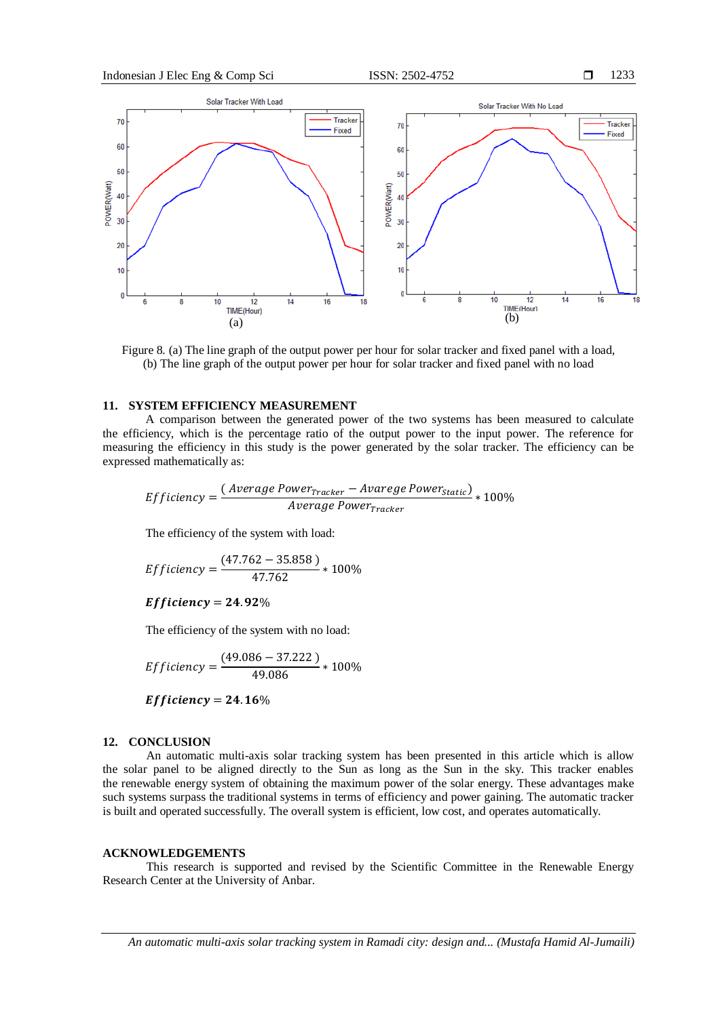

Figure 8. (a) The line graph of the output power per hour for solar tracker and fixed panel with a load, (b) The line graph of the output power per hour for solar tracker and fixed panel with no load

# **11. SYSTEM EFFICIENCY MEASUREMENT**

A comparison between the generated power of the two systems has been measured to calculate the efficiency, which is the percentage ratio of the output power to the input power. The reference for measuring the efficiency in this study is the power generated by the solar tracker. The efficiency can be expressed mathematically as:

*Efficiency* = 
$$
\frac{(Average Power_{Tracker} - Average Power_{Static})}{Average Power_{Tracker}} * 100\%
$$

The efficiency of the system with load:

$$
Efficiency = \frac{(47.762 - 35.858)}{47.762} * 100\%
$$

Efficiency = 24.92%

The efficiency of the system with no load:

$$
Efficiency = \frac{(49.086 - 37.222)}{49.086} * 100\%
$$

Efficiency = 24.16%

#### **12. CONCLUSION**

An automatic multi-axis solar tracking system has been presented in this article which is allow the solar panel to be aligned directly to the Sun as long as the Sun in the sky. This tracker enables the renewable energy system of obtaining the maximum power of the solar energy. These advantages make such systems surpass the traditional systems in terms of efficiency and power gaining. The automatic tracker is built and operated successfully. The overall system is efficient, low cost, and operates automatically.

# **ACKNOWLEDGEMENTS**

This research is supported and revised by the Scientific Committee in the Renewable Energy Research Center at the University of Anbar.